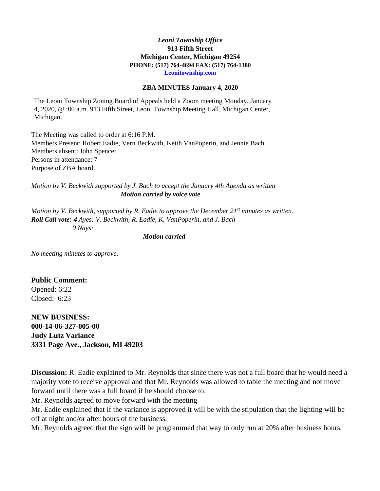### *Leoni Township Office* **913 Fifth Street Michigan Center, Michigan 49254 PHONE: (517) 764-4694 FAX: (517) 764-1380 Leonitownship.com**

#### **ZBA MINUTES January 4, 2020**

The Leoni Township Zoning Board of Appeals held a Zoom meeting Monday, January 4, 2020, @ :00 a.m..913 Fifth Street, Leoni Township Meeting Hall, Michigan Center, Michigan.

The Meeting was called to order at 6:16 P.M. Members Present: Robert Eadie, Vern Beckwith, Keith VanPoperin, and Jennie Bach Members absent: John Spencer Persons in attendance: 7 Purpose of ZBA board.

*Motion by V. Beckwith supported by J. Bach to accept the January 4th Agenda as written Motion carried by voice vote*

*Motion by V. Beckwith, supported by R. Eadie to approve the December 21st minutes as written. Roll Call vote: 4 Ayes: V. Beckwith, R. Eadie, K. VanPoperin, and J. Bach 0 Nays:*

*Motion carried*

*No meeting minutes to approve.*

## **Public Comment:**

Opened: 6:22 Closed: 6:23

**NEW BUSINESS: 000-14-06-327-005-00 Judy Lutz Variance 3331 Page Ave., Jackson, MI 49203**

**Discussion:** R. Eadie explained to Mr. Reynolds that since there was not a full board that he would need a majority vote to receive approval and that Mr. Reynolds was allowed to table the meeting and not move forward until there was a full board if he should choose to.

Mr. Reynolds agreed to move forward with the meeting

Mr. Eadie explained that if the variance is approved it will be with the stipulation that the lighting will be off at night and/or after hours of the business.

Mr. Reynolds agreed that the sign will be programmed that way to only run at 20% after business hours.